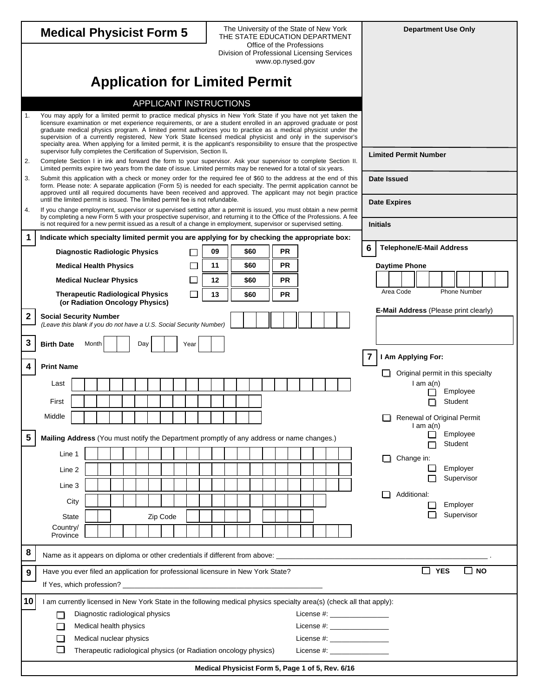|                                 |                                                                                                                                                                                                                                                                                                                                                                                                                                                                                                                                                                                                                                                                             |  |                                                                  |  |  |  |     |                                                                                                            |          |  |              |               |                                                  |  |              |  | The University of the State of New York |  |                        |  |  |  |                                |   |                     |                                 |               |            |         | <b>Department Use Only</b>            |      |  |
|---------------------------------|-----------------------------------------------------------------------------------------------------------------------------------------------------------------------------------------------------------------------------------------------------------------------------------------------------------------------------------------------------------------------------------------------------------------------------------------------------------------------------------------------------------------------------------------------------------------------------------------------------------------------------------------------------------------------------|--|------------------------------------------------------------------|--|--|--|-----|------------------------------------------------------------------------------------------------------------|----------|--|--------------|---------------|--------------------------------------------------|--|--------------|--|-----------------------------------------|--|------------------------|--|--|--|--------------------------------|---|---------------------|---------------------------------|---------------|------------|---------|---------------------------------------|------|--|
| <b>Medical Physicist Form 5</b> |                                                                                                                                                                                                                                                                                                                                                                                                                                                                                                                                                                                                                                                                             |  |                                                                  |  |  |  |     | THE STATE EDUCATION DEPARTMENT<br>Office of the Professions<br>Division of Professional Licensing Services |          |  |              |               |                                                  |  |              |  |                                         |  |                        |  |  |  |                                |   |                     |                                 |               |            |         |                                       |      |  |
|                                 |                                                                                                                                                                                                                                                                                                                                                                                                                                                                                                                                                                                                                                                                             |  |                                                                  |  |  |  |     |                                                                                                            |          |  |              |               |                                                  |  |              |  | www.op.nysed.gov                        |  |                        |  |  |  |                                |   |                     |                                 |               |            |         |                                       |      |  |
|                                 |                                                                                                                                                                                                                                                                                                                                                                                                                                                                                                                                                                                                                                                                             |  |                                                                  |  |  |  |     |                                                                                                            |          |  |              |               | <b>Application for Limited Permit</b>            |  |              |  |                                         |  |                        |  |  |  |                                |   |                     |                                 |               |            |         |                                       |      |  |
|                                 |                                                                                                                                                                                                                                                                                                                                                                                                                                                                                                                                                                                                                                                                             |  |                                                                  |  |  |  |     |                                                                                                            |          |  |              |               | APPLICANT INSTRUCTIONS                           |  |              |  |                                         |  |                        |  |  |  |                                |   |                     |                                 |               |            |         |                                       |      |  |
| 1.                              | You may apply for a limited permit to practice medical physics in New York State if you have not yet taken the<br>licensure examination or met experience requirements, or are a student enrolled in an approved graduate or post<br>graduate medical physics program. A limited permit authorizes you to practice as a medical physicist under the<br>supervision of a currently registered, New York State licensed medical physicist and only in the supervisor's<br>specialty area. When applying for a limited permit, it is the applicant's responsibility to ensure that the prospective<br>supervisor fully completes the Certification of Supervision, Section II. |  |                                                                  |  |  |  |     |                                                                                                            |          |  |              |               |                                                  |  |              |  |                                         |  |                        |  |  |  |                                |   |                     |                                 |               |            |         |                                       |      |  |
| 2.                              | Complete Section I in ink and forward the form to your supervisor. Ask your supervisor to complete Section II.<br>Limited permits expire two years from the date of issue. Limited permits may be renewed for a total of six years.                                                                                                                                                                                                                                                                                                                                                                                                                                         |  |                                                                  |  |  |  |     |                                                                                                            |          |  |              |               |                                                  |  |              |  |                                         |  |                        |  |  |  |                                |   |                     | <b>Limited Permit Number</b>    |               |            |         |                                       |      |  |
| 3.                              | Submit this application with a check or money order for the required fee of \$60 to the address at the end of this<br>form. Please note: A separate application (Form 5) is needed for each specialty. The permit application cannot be<br>approved until all required documents have been received and approved. The applicant may not begin practice                                                                                                                                                                                                                                                                                                                      |  |                                                                  |  |  |  |     |                                                                                                            |          |  |              |               |                                                  |  |              |  |                                         |  |                        |  |  |  |                                |   | <b>Date Issued</b>  |                                 |               |            |         |                                       |      |  |
| 4.                              | until the limited permit is issued. The limited permit fee is not refundable.<br>If you change employment, supervisor or supervised setting after a permit is issued, you must obtain a new permit                                                                                                                                                                                                                                                                                                                                                                                                                                                                          |  |                                                                  |  |  |  |     |                                                                                                            |          |  |              |               |                                                  |  |              |  |                                         |  |                        |  |  |  |                                |   | <b>Date Expires</b> |                                 |               |            |         |                                       |      |  |
|                                 | by completing a new Form 5 with your prospective supervisor, and returning it to the Office of the Professions. A fee<br>is not required for a new permit issued as a result of a change in employment, supervisor or supervised setting.                                                                                                                                                                                                                                                                                                                                                                                                                                   |  |                                                                  |  |  |  |     |                                                                                                            |          |  |              |               |                                                  |  |              |  |                                         |  |                        |  |  |  |                                |   | <b>Initials</b>     |                                 |               |            |         |                                       |      |  |
| 1                               | Indicate which specialty limited permit you are applying for by checking the appropriate box:                                                                                                                                                                                                                                                                                                                                                                                                                                                                                                                                                                               |  |                                                                  |  |  |  |     |                                                                                                            |          |  |              |               |                                                  |  |              |  |                                         |  |                        |  |  |  |                                | 6 |                     | <b>Telephone/E-Mail Address</b> |               |            |         |                                       |      |  |
|                                 | <b>Diagnostic Radiologic Physics</b>                                                                                                                                                                                                                                                                                                                                                                                                                                                                                                                                                                                                                                        |  |                                                                  |  |  |  |     |                                                                                                            |          |  |              | 09            |                                                  |  | \$60         |  |                                         |  | <b>PR</b>              |  |  |  |                                |   |                     |                                 |               |            |         |                                       |      |  |
|                                 | <b>Medical Health Physics</b>                                                                                                                                                                                                                                                                                                                                                                                                                                                                                                                                                                                                                                               |  |                                                                  |  |  |  |     |                                                                                                            |          |  |              | 11<br>$12 \,$ |                                                  |  | \$60<br>\$60 |  |                                         |  | <b>PR</b><br><b>PR</b> |  |  |  |                                |   |                     | <b>Daytime Phone</b>            |               |            |         |                                       |      |  |
|                                 | <b>Medical Nuclear Physics</b><br><b>Therapeutic Radiological Physics</b>                                                                                                                                                                                                                                                                                                                                                                                                                                                                                                                                                                                                   |  |                                                                  |  |  |  |     |                                                                                                            |          |  | $\mathsf{L}$ | 13            |                                                  |  | \$60         |  |                                         |  | <b>PR</b>              |  |  |  |                                |   | Area Code           |                                 |               |            |         | <b>Phone Number</b>                   |      |  |
|                                 | (or Radiation Oncology Physics)                                                                                                                                                                                                                                                                                                                                                                                                                                                                                                                                                                                                                                             |  |                                                                  |  |  |  |     |                                                                                                            |          |  |              |               |                                                  |  |              |  |                                         |  |                        |  |  |  |                                |   |                     |                                 |               |            |         | E-Mail Address (Please print clearly) |      |  |
| $\boldsymbol{2}$                | <b>Social Security Number</b><br>(Leave this blank if you do not have a U.S. Social Security Number)                                                                                                                                                                                                                                                                                                                                                                                                                                                                                                                                                                        |  |                                                                  |  |  |  |     |                                                                                                            |          |  |              |               |                                                  |  |              |  |                                         |  |                        |  |  |  |                                |   |                     |                                 |               |            |         |                                       |      |  |
| 3                               | <b>Birth Date</b>                                                                                                                                                                                                                                                                                                                                                                                                                                                                                                                                                                                                                                                           |  | Month                                                            |  |  |  | Day |                                                                                                            |          |  | Year         |               |                                                  |  |              |  |                                         |  |                        |  |  |  |                                |   |                     |                                 |               |            |         |                                       |      |  |
| 4                               | <b>Print Name</b>                                                                                                                                                                                                                                                                                                                                                                                                                                                                                                                                                                                                                                                           |  |                                                                  |  |  |  |     |                                                                                                            |          |  |              |               |                                                  |  |              |  |                                         |  |                        |  |  |  |                                |   |                     | I Am Applying For:              |               |            |         |                                       |      |  |
|                                 | Last                                                                                                                                                                                                                                                                                                                                                                                                                                                                                                                                                                                                                                                                        |  |                                                                  |  |  |  |     |                                                                                                            |          |  |              |               |                                                  |  |              |  |                                         |  |                        |  |  |  |                                |   | - 1                 |                                 | $l$ am $a(n)$ |            |         | Original permit in this specialty     |      |  |
|                                 | First                                                                                                                                                                                                                                                                                                                                                                                                                                                                                                                                                                                                                                                                       |  |                                                                  |  |  |  |     |                                                                                                            |          |  |              |               |                                                  |  |              |  |                                         |  |                        |  |  |  |                                |   |                     |                                 |               |            | Student | Employee                              |      |  |
|                                 | Middle                                                                                                                                                                                                                                                                                                                                                                                                                                                                                                                                                                                                                                                                      |  |                                                                  |  |  |  |     |                                                                                                            |          |  |              |               |                                                  |  |              |  |                                         |  |                        |  |  |  |                                |   |                     |                                 | $l$ am $a(n)$ |            |         | <b>Renewal of Original Permit</b>     |      |  |
| 5                               | Mailing Address (You must notify the Department promptly of any address or name changes.)                                                                                                                                                                                                                                                                                                                                                                                                                                                                                                                                                                                   |  |                                                                  |  |  |  |     |                                                                                                            |          |  |              |               |                                                  |  |              |  |                                         |  |                        |  |  |  |                                |   |                     |                                 |               |            | Student | Employee                              |      |  |
|                                 | Line 1                                                                                                                                                                                                                                                                                                                                                                                                                                                                                                                                                                                                                                                                      |  |                                                                  |  |  |  |     |                                                                                                            |          |  |              |               |                                                  |  |              |  |                                         |  |                        |  |  |  |                                |   | ΙI                  | Change in:                      |               |            |         |                                       |      |  |
|                                 | Line 2                                                                                                                                                                                                                                                                                                                                                                                                                                                                                                                                                                                                                                                                      |  |                                                                  |  |  |  |     |                                                                                                            |          |  |              |               |                                                  |  |              |  |                                         |  |                        |  |  |  |                                |   |                     |                                 |               |            |         | Employer<br>Supervisor                |      |  |
|                                 | Line 3                                                                                                                                                                                                                                                                                                                                                                                                                                                                                                                                                                                                                                                                      |  |                                                                  |  |  |  |     |                                                                                                            |          |  |              |               |                                                  |  |              |  |                                         |  |                        |  |  |  |                                |   |                     | Additional:                     |               |            |         |                                       |      |  |
|                                 | City                                                                                                                                                                                                                                                                                                                                                                                                                                                                                                                                                                                                                                                                        |  |                                                                  |  |  |  |     |                                                                                                            |          |  |              |               |                                                  |  |              |  |                                         |  |                        |  |  |  |                                |   |                     |                                 |               |            |         | Employer                              |      |  |
|                                 | <b>State</b>                                                                                                                                                                                                                                                                                                                                                                                                                                                                                                                                                                                                                                                                |  |                                                                  |  |  |  |     |                                                                                                            | Zip Code |  |              |               |                                                  |  |              |  |                                         |  |                        |  |  |  |                                |   |                     |                                 |               |            |         | Supervisor                            |      |  |
|                                 | Country/<br>Province                                                                                                                                                                                                                                                                                                                                                                                                                                                                                                                                                                                                                                                        |  |                                                                  |  |  |  |     |                                                                                                            |          |  |              |               |                                                  |  |              |  |                                         |  |                        |  |  |  |                                |   |                     |                                 |               |            |         |                                       |      |  |
| 8                               | Name as it appears on diploma or other credentials if different from above: ________________________                                                                                                                                                                                                                                                                                                                                                                                                                                                                                                                                                                        |  |                                                                  |  |  |  |     |                                                                                                            |          |  |              |               |                                                  |  |              |  |                                         |  |                        |  |  |  |                                |   |                     |                                 |               |            |         |                                       |      |  |
| 9                               | Have you ever filed an application for professional licensure in New York State?                                                                                                                                                                                                                                                                                                                                                                                                                                                                                                                                                                                            |  |                                                                  |  |  |  |     |                                                                                                            |          |  |              |               |                                                  |  |              |  |                                         |  |                        |  |  |  |                                |   |                     |                                 |               | <b>YES</b> |         |                                       | ⊿ NO |  |
| 10                              | I am currently licensed in New York State in the following medical physics specialty area(s) (check all that apply):                                                                                                                                                                                                                                                                                                                                                                                                                                                                                                                                                        |  |                                                                  |  |  |  |     |                                                                                                            |          |  |              |               |                                                  |  |              |  |                                         |  |                        |  |  |  |                                |   |                     |                                 |               |            |         |                                       |      |  |
|                                 |                                                                                                                                                                                                                                                                                                                                                                                                                                                                                                                                                                                                                                                                             |  | Diagnostic radiological physics                                  |  |  |  |     |                                                                                                            |          |  |              |               |                                                  |  |              |  |                                         |  |                        |  |  |  | License #: _________________   |   |                     |                                 |               |            |         |                                       |      |  |
|                                 | Medical health physics<br>License #: __________________<br>$\mathsf{L}$<br>License #: __________________<br>Medical nuclear physics                                                                                                                                                                                                                                                                                                                                                                                                                                                                                                                                         |  |                                                                  |  |  |  |     |                                                                                                            |          |  |              |               |                                                  |  |              |  |                                         |  |                        |  |  |  |                                |   |                     |                                 |               |            |         |                                       |      |  |
|                                 |                                                                                                                                                                                                                                                                                                                                                                                                                                                                                                                                                                                                                                                                             |  | Therapeutic radiological physics (or Radiation oncology physics) |  |  |  |     |                                                                                                            |          |  |              |               |                                                  |  |              |  |                                         |  |                        |  |  |  | License $\#$ : $\qquad \qquad$ |   |                     |                                 |               |            |         |                                       |      |  |
|                                 |                                                                                                                                                                                                                                                                                                                                                                                                                                                                                                                                                                                                                                                                             |  |                                                                  |  |  |  |     |                                                                                                            |          |  |              |               | Medical Physicist Form 5, Page 1 of 5, Rev. 6/16 |  |              |  |                                         |  |                        |  |  |  |                                |   |                     |                                 |               |            |         |                                       |      |  |
|                                 |                                                                                                                                                                                                                                                                                                                                                                                                                                                                                                                                                                                                                                                                             |  |                                                                  |  |  |  |     |                                                                                                            |          |  |              |               |                                                  |  |              |  |                                         |  |                        |  |  |  |                                |   |                     |                                 |               |            |         |                                       |      |  |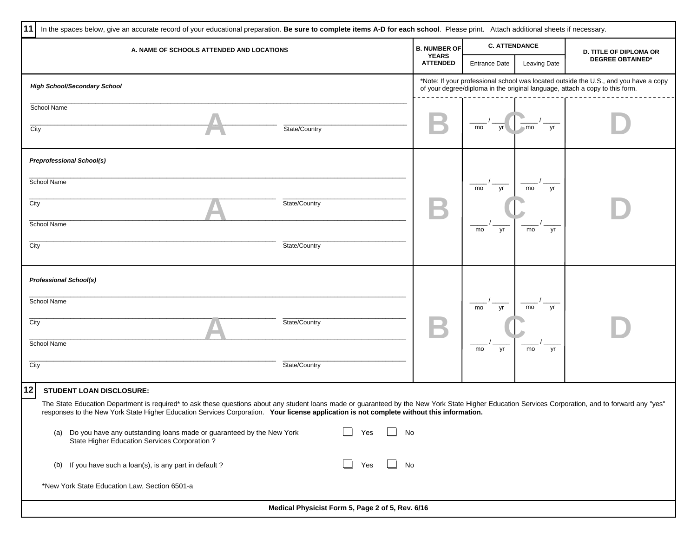| 11   | In the spaces below, give an accurate record of your educational preparation. Be sure to complete items A-D for each school. Please print. Attach additional sheets if necessary.                                                                                                                                                                |                                                                                                                                                                      |                      |              |                               |  |  |  |  |
|------|--------------------------------------------------------------------------------------------------------------------------------------------------------------------------------------------------------------------------------------------------------------------------------------------------------------------------------------------------|----------------------------------------------------------------------------------------------------------------------------------------------------------------------|----------------------|--------------|-------------------------------|--|--|--|--|
|      | A. NAME OF SCHOOLS ATTENDED AND LOCATIONS                                                                                                                                                                                                                                                                                                        | <b>B. NUMBER OF</b>                                                                                                                                                  | <b>C. ATTENDANCE</b> |              | <b>D. TITLE OF DIPLOMA OR</b> |  |  |  |  |
|      |                                                                                                                                                                                                                                                                                                                                                  | <b>YEARS</b><br><b>ATTENDED</b>                                                                                                                                      | <b>Entrance Date</b> | Leaving Date | <b>DEGREE OBTAINED*</b>       |  |  |  |  |
|      | <b>High School/Secondary School</b>                                                                                                                                                                                                                                                                                                              | *Note: If your professional school was located outside the U.S., and you have a copy<br>of your degree/diploma in the original language, attach a copy to this form. |                      |              |                               |  |  |  |  |
| City | School Name<br>State/Country                                                                                                                                                                                                                                                                                                                     |                                                                                                                                                                      | yr l<br>mo           | yr<br>$-mo$  |                               |  |  |  |  |
|      | <b>Preprofessional School(s)</b>                                                                                                                                                                                                                                                                                                                 |                                                                                                                                                                      |                      |              |                               |  |  |  |  |
|      | School Name                                                                                                                                                                                                                                                                                                                                      |                                                                                                                                                                      | mo<br>yr             | mo<br>yr     |                               |  |  |  |  |
| City | State/Country                                                                                                                                                                                                                                                                                                                                    |                                                                                                                                                                      |                      |              |                               |  |  |  |  |
|      | School Name                                                                                                                                                                                                                                                                                                                                      |                                                                                                                                                                      | mo<br>yr             | mo<br>yr     |                               |  |  |  |  |
| City | State/Country                                                                                                                                                                                                                                                                                                                                    |                                                                                                                                                                      |                      |              |                               |  |  |  |  |
|      | <b>Professional School(s)</b>                                                                                                                                                                                                                                                                                                                    |                                                                                                                                                                      |                      |              |                               |  |  |  |  |
|      | School Name                                                                                                                                                                                                                                                                                                                                      |                                                                                                                                                                      | yr<br>mo             | mo<br>yr     |                               |  |  |  |  |
| City | State/Country                                                                                                                                                                                                                                                                                                                                    |                                                                                                                                                                      |                      |              |                               |  |  |  |  |
|      | School Name                                                                                                                                                                                                                                                                                                                                      |                                                                                                                                                                      | mo<br>yr             | mo<br>yr     |                               |  |  |  |  |
| City | State/Country                                                                                                                                                                                                                                                                                                                                    |                                                                                                                                                                      |                      |              |                               |  |  |  |  |
| 12   | <b>STUDENT LOAN DISCLOSURE:</b>                                                                                                                                                                                                                                                                                                                  |                                                                                                                                                                      |                      |              |                               |  |  |  |  |
|      | The State Education Department is required* to ask these questions about any student loans made or guaranteed by the New York State Higher Education Services Corporation, and to forward any "yes"<br>responses to the New York State Higher Education Services Corporation. Your license application is not complete without this information. |                                                                                                                                                                      |                      |              |                               |  |  |  |  |
|      | Do you have any outstanding loans made or guaranteed by the New York<br>(a)<br>State Higher Education Services Corporation?                                                                                                                                                                                                                      | No                                                                                                                                                                   |                      |              |                               |  |  |  |  |
|      | (b) If you have such a loan(s), is any part in default?<br>Yes                                                                                                                                                                                                                                                                                   | No                                                                                                                                                                   |                      |              |                               |  |  |  |  |
|      | *New York State Education Law, Section 6501-a                                                                                                                                                                                                                                                                                                    |                                                                                                                                                                      |                      |              |                               |  |  |  |  |
|      | Medical Physicist Form 5, Page 2 of 5, Rev. 6/16                                                                                                                                                                                                                                                                                                 |                                                                                                                                                                      |                      |              |                               |  |  |  |  |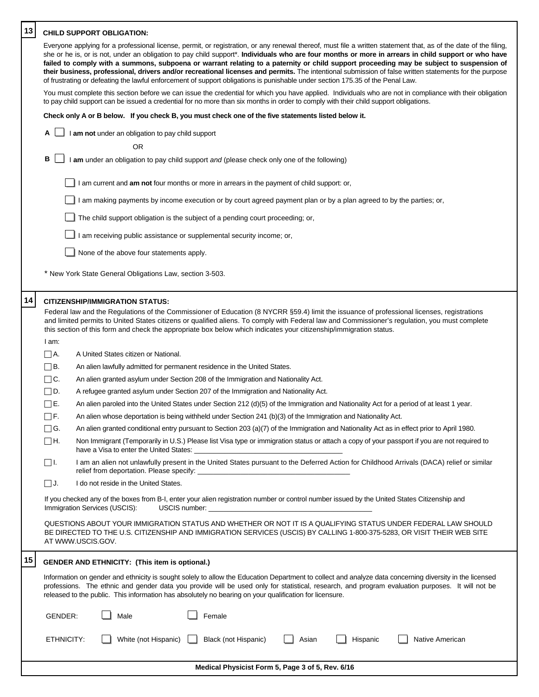| 13 | <b>CHILD SUPPORT OBLIGATION:</b>                                                                                                                                                                                                                                                                                                                                                                                                                                                                                                                                                                                                                                                                                                                                                                                                                                                                                                                                                                                                                                                                                                                                                                                                                                                                                                                                                                                                                                                                                                                                                                                                                                                                                                                                                                                                                                                                                                                                                                                                                                                                                                                                                                                                                                                                                                                                                                                                             |
|----|----------------------------------------------------------------------------------------------------------------------------------------------------------------------------------------------------------------------------------------------------------------------------------------------------------------------------------------------------------------------------------------------------------------------------------------------------------------------------------------------------------------------------------------------------------------------------------------------------------------------------------------------------------------------------------------------------------------------------------------------------------------------------------------------------------------------------------------------------------------------------------------------------------------------------------------------------------------------------------------------------------------------------------------------------------------------------------------------------------------------------------------------------------------------------------------------------------------------------------------------------------------------------------------------------------------------------------------------------------------------------------------------------------------------------------------------------------------------------------------------------------------------------------------------------------------------------------------------------------------------------------------------------------------------------------------------------------------------------------------------------------------------------------------------------------------------------------------------------------------------------------------------------------------------------------------------------------------------------------------------------------------------------------------------------------------------------------------------------------------------------------------------------------------------------------------------------------------------------------------------------------------------------------------------------------------------------------------------------------------------------------------------------------------------------------------------|
|    | Everyone applying for a professional license, permit, or registration, or any renewal thereof, must file a written statement that, as of the date of the filing,<br>she or he is, or is not, under an obligation to pay child support*. Individuals who are four months or more in arrears in child support or who have<br>failed to comply with a summons, subpoena or warrant relating to a paternity or child support proceeding may be subject to suspension of<br>their business, professional, drivers and/or recreational licenses and permits. The intentional submission of false written statements for the purpose<br>of frustrating or defeating the lawful enforcement of support obligations is punishable under section 175.35 of the Penal Law.                                                                                                                                                                                                                                                                                                                                                                                                                                                                                                                                                                                                                                                                                                                                                                                                                                                                                                                                                                                                                                                                                                                                                                                                                                                                                                                                                                                                                                                                                                                                                                                                                                                                              |
|    | You must complete this section before we can issue the credential for which you have applied. Individuals who are not in compliance with their obligation<br>to pay child support can be issued a credential for no more than six months in order to comply with their child support obligations.                                                                                                                                                                                                                                                                                                                                                                                                                                                                                                                                                                                                                                                                                                                                                                                                                                                                                                                                                                                                                                                                                                                                                                                                                                                                                                                                                                                                                                                                                                                                                                                                                                                                                                                                                                                                                                                                                                                                                                                                                                                                                                                                            |
|    | Check only A or B below. If you check B, you must check one of the five statements listed below it.                                                                                                                                                                                                                                                                                                                                                                                                                                                                                                                                                                                                                                                                                                                                                                                                                                                                                                                                                                                                                                                                                                                                                                                                                                                                                                                                                                                                                                                                                                                                                                                                                                                                                                                                                                                                                                                                                                                                                                                                                                                                                                                                                                                                                                                                                                                                          |
|    | Α<br>I am not under an obligation to pay child support                                                                                                                                                                                                                                                                                                                                                                                                                                                                                                                                                                                                                                                                                                                                                                                                                                                                                                                                                                                                                                                                                                                                                                                                                                                                                                                                                                                                                                                                                                                                                                                                                                                                                                                                                                                                                                                                                                                                                                                                                                                                                                                                                                                                                                                                                                                                                                                       |
|    | OR                                                                                                                                                                                                                                                                                                                                                                                                                                                                                                                                                                                                                                                                                                                                                                                                                                                                                                                                                                                                                                                                                                                                                                                                                                                                                                                                                                                                                                                                                                                                                                                                                                                                                                                                                                                                                                                                                                                                                                                                                                                                                                                                                                                                                                                                                                                                                                                                                                           |
|    | в<br>I am under an obligation to pay child support and (please check only one of the following)                                                                                                                                                                                                                                                                                                                                                                                                                                                                                                                                                                                                                                                                                                                                                                                                                                                                                                                                                                                                                                                                                                                                                                                                                                                                                                                                                                                                                                                                                                                                                                                                                                                                                                                                                                                                                                                                                                                                                                                                                                                                                                                                                                                                                                                                                                                                              |
|    | I am current and am not four months or more in arrears in the payment of child support: or,                                                                                                                                                                                                                                                                                                                                                                                                                                                                                                                                                                                                                                                                                                                                                                                                                                                                                                                                                                                                                                                                                                                                                                                                                                                                                                                                                                                                                                                                                                                                                                                                                                                                                                                                                                                                                                                                                                                                                                                                                                                                                                                                                                                                                                                                                                                                                  |
|    | am making payments by income execution or by court agreed payment plan or by a plan agreed to by the parties; or,                                                                                                                                                                                                                                                                                                                                                                                                                                                                                                                                                                                                                                                                                                                                                                                                                                                                                                                                                                                                                                                                                                                                                                                                                                                                                                                                                                                                                                                                                                                                                                                                                                                                                                                                                                                                                                                                                                                                                                                                                                                                                                                                                                                                                                                                                                                            |
|    | The child support obligation is the subject of a pending court proceeding; or,                                                                                                                                                                                                                                                                                                                                                                                                                                                                                                                                                                                                                                                                                                                                                                                                                                                                                                                                                                                                                                                                                                                                                                                                                                                                                                                                                                                                                                                                                                                                                                                                                                                                                                                                                                                                                                                                                                                                                                                                                                                                                                                                                                                                                                                                                                                                                               |
|    | am receiving public assistance or supplemental security income; or,                                                                                                                                                                                                                                                                                                                                                                                                                                                                                                                                                                                                                                                                                                                                                                                                                                                                                                                                                                                                                                                                                                                                                                                                                                                                                                                                                                                                                                                                                                                                                                                                                                                                                                                                                                                                                                                                                                                                                                                                                                                                                                                                                                                                                                                                                                                                                                          |
|    | None of the above four statements apply.                                                                                                                                                                                                                                                                                                                                                                                                                                                                                                                                                                                                                                                                                                                                                                                                                                                                                                                                                                                                                                                                                                                                                                                                                                                                                                                                                                                                                                                                                                                                                                                                                                                                                                                                                                                                                                                                                                                                                                                                                                                                                                                                                                                                                                                                                                                                                                                                     |
|    | * New York State General Obligations Law, section 3-503.                                                                                                                                                                                                                                                                                                                                                                                                                                                                                                                                                                                                                                                                                                                                                                                                                                                                                                                                                                                                                                                                                                                                                                                                                                                                                                                                                                                                                                                                                                                                                                                                                                                                                                                                                                                                                                                                                                                                                                                                                                                                                                                                                                                                                                                                                                                                                                                     |
| 14 | <b>CITIZENSHIP/IMMIGRATION STATUS:</b><br>Federal law and the Regulations of the Commissioner of Education (8 NYCRR §59.4) limit the issuance of professional licenses, registrations<br>and limited permits to United States citizens or qualified aliens. To comply with Federal law and Commissioner's regulation, you must complete<br>this section of this form and check the appropriate box below which indicates your citizenship/immigration status.<br>I am:<br>$\Box$ A.<br>A United States citizen or National.<br>$\Box$ B.<br>An alien lawfully admitted for permanent residence in the United States.<br>$\square$ C.<br>An alien granted asylum under Section 208 of the Immigration and Nationality Act.<br>$\square$ D.<br>A refugee granted asylum under Section 207 of the Immigration and Nationality Act.<br>$\square$ E.<br>An alien paroled into the United States under Section 212 (d)(5) of the Immigration and Nationality Act for a period of at least 1 year.<br>$\Box$ F.<br>An alien whose deportation is being withheld under Section 241 (b)(3) of the Immigration and Nationality Act.<br>An alien granted conditional entry pursuant to Section 203 (a)(7) of the Immigration and Nationality Act as in effect prior to April 1980.<br>$\Box$ G.<br>∐Н.<br>Non Immigrant (Temporarily in U.S.) Please list Visa type or immigration status or attach a copy of your passport if you are not required to<br>have a Visa to enter the United States: Next and the States of the March 2011<br>I am an alien not unlawfully present in the United States pursuant to the Deferred Action for Childhood Arrivals (DACA) relief or similar<br>$\square$ I.<br>I do not reside in the United States.<br>$\square$ J.<br>If you checked any of the boxes from B-I, enter your alien registration number or control number issued by the United States Citizenship and<br>Immigration Services (USCIS):<br>USCIS number: <u>with a series of the series of the series of the series of the series of the series of the series of the series of the series of the series of the series of the series of the series of the series of the seri</u><br>QUESTIONS ABOUT YOUR IMMIGRATION STATUS AND WHETHER OR NOT IT IS A QUALIFYING STATUS UNDER FEDERAL LAW SHOULD<br>BE DIRECTED TO THE U.S. CITIZENSHIP AND IMMIGRATION SERVICES (USCIS) BY CALLING 1-800-375-5283, OR VISIT THEIR WEB SITE<br>AT WWW.USCIS.GOV. |
| 15 |                                                                                                                                                                                                                                                                                                                                                                                                                                                                                                                                                                                                                                                                                                                                                                                                                                                                                                                                                                                                                                                                                                                                                                                                                                                                                                                                                                                                                                                                                                                                                                                                                                                                                                                                                                                                                                                                                                                                                                                                                                                                                                                                                                                                                                                                                                                                                                                                                                              |
|    | <b>GENDER AND ETHNICITY: (This item is optional.)</b><br>Information on gender and ethnicity is sought solely to allow the Education Department to collect and analyze data concerning diversity in the licensed<br>professions. The ethnic and gender data you provide will be used only for statistical, research, and program evaluation purposes. It will not be<br>released to the public. This information has absolutely no bearing on your qualification for licensure.                                                                                                                                                                                                                                                                                                                                                                                                                                                                                                                                                                                                                                                                                                                                                                                                                                                                                                                                                                                                                                                                                                                                                                                                                                                                                                                                                                                                                                                                                                                                                                                                                                                                                                                                                                                                                                                                                                                                                              |
|    | GENDER:<br>Male<br>Female                                                                                                                                                                                                                                                                                                                                                                                                                                                                                                                                                                                                                                                                                                                                                                                                                                                                                                                                                                                                                                                                                                                                                                                                                                                                                                                                                                                                                                                                                                                                                                                                                                                                                                                                                                                                                                                                                                                                                                                                                                                                                                                                                                                                                                                                                                                                                                                                                    |
|    | ETHNICITY:<br>White (not Hispanic)<br>Black (not Hispanic)<br>Asian<br>Hispanic<br>Native American                                                                                                                                                                                                                                                                                                                                                                                                                                                                                                                                                                                                                                                                                                                                                                                                                                                                                                                                                                                                                                                                                                                                                                                                                                                                                                                                                                                                                                                                                                                                                                                                                                                                                                                                                                                                                                                                                                                                                                                                                                                                                                                                                                                                                                                                                                                                           |

|  |  | Medical Physicist Form 5, Page 3 of 5, Rev. 6/16 |
|--|--|--------------------------------------------------|
|  |  |                                                  |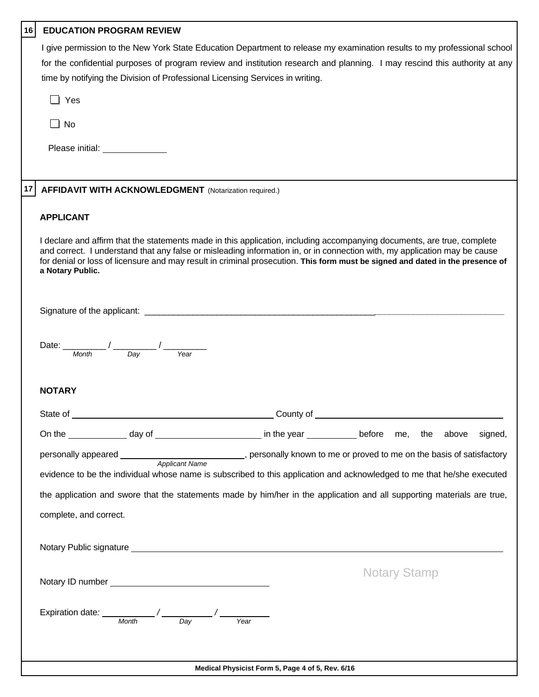| 16 | <b>EDUCATION PROGRAM REVIEW</b>                                                                                                                                                                                                                                                                                                                                                                                                         |
|----|-----------------------------------------------------------------------------------------------------------------------------------------------------------------------------------------------------------------------------------------------------------------------------------------------------------------------------------------------------------------------------------------------------------------------------------------|
|    | I give permission to the New York State Education Department to release my examination results to my professional school<br>for the confidential purposes of program review and institution research and planning. I may rescind this authority at any<br>time by notifying the Division of Professional Licensing Services in writing.                                                                                                 |
|    | $\Box$ Yes                                                                                                                                                                                                                                                                                                                                                                                                                              |
|    | $\Box$ No                                                                                                                                                                                                                                                                                                                                                                                                                               |
|    | Please initial: <u>______________</u>                                                                                                                                                                                                                                                                                                                                                                                                   |
|    | <b>AFFIDAVIT WITH ACKNOWLEDGMENT</b> (Notarization required.)                                                                                                                                                                                                                                                                                                                                                                           |
|    | <b>APPLICANT</b>                                                                                                                                                                                                                                                                                                                                                                                                                        |
|    | I declare and affirm that the statements made in this application, including accompanying documents, are true, complete<br>and correct. I understand that any false or misleading information in, or in connection with, my application may be cause<br>for denial or loss of licensure and may result in criminal prosecution. This form must be signed and dated in the presence of<br>a Notary Public.                               |
|    |                                                                                                                                                                                                                                                                                                                                                                                                                                         |
|    | Date: $\frac{1}{M\text{onth}}$ / $\frac{1}{D\text{ay}}$                                                                                                                                                                                                                                                                                                                                                                                 |
|    | <b>NOTARY</b>                                                                                                                                                                                                                                                                                                                                                                                                                           |
|    | State of<br>______________County of __                                                                                                                                                                                                                                                                                                                                                                                                  |
|    | On the _______________ day of ____________________________ in the year _____________ before me, the above<br>signed,                                                                                                                                                                                                                                                                                                                    |
|    | personally appeared __________________________________, personally known to me or proved to me on the basis of satisfactory                                                                                                                                                                                                                                                                                                             |
|    | evidence to be the individual whose name is subscribed to this application and acknowledged to me that he/she executed                                                                                                                                                                                                                                                                                                                  |
|    | the application and swore that the statements made by him/her in the application and all supporting materials are true,                                                                                                                                                                                                                                                                                                                 |
|    | complete, and correct.                                                                                                                                                                                                                                                                                                                                                                                                                  |
|    |                                                                                                                                                                                                                                                                                                                                                                                                                                         |
|    | <b>Notary Stamp</b>                                                                                                                                                                                                                                                                                                                                                                                                                     |
|    | Expiration date: $\frac{M_{\text{on}}}{M_{\text{on}} + M_{\text{on}} + M_{\text{on}} + M_{\text{on}} + M_{\text{on}} + M_{\text{on}} + M_{\text{on}} + M_{\text{on}} + M_{\text{on}} + M_{\text{on}} + M_{\text{on}} + M_{\text{on}} + M_{\text{on}} + M_{\text{on}} + M_{\text{on}} + M_{\text{on}} + M_{\text{on}} + M_{\text{on}} + M_{\text{on}} + M_{\text{on}} + M_{\text{on}} + M_{\text{on}} + M_{\text{on}} + M_{\text{on}} +$ |
|    |                                                                                                                                                                                                                                                                                                                                                                                                                                         |
|    | Medical Physicist Form 5, Page 4 of 5, Rev. 6/16                                                                                                                                                                                                                                                                                                                                                                                        |